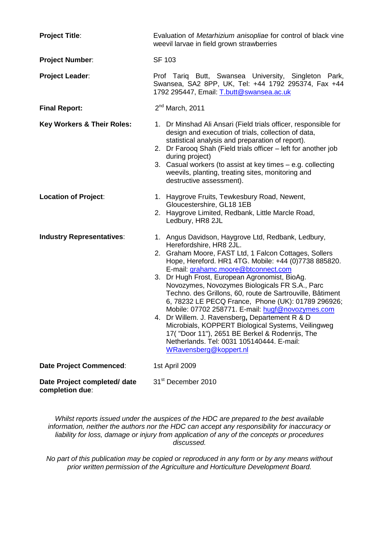| <b>Project Title:</b>                           | Evaluation of Metarhizium anisopliae for control of black vine<br>weevil larvae in field grown strawberries                                                                                                                                                                                                                                                                                                                                                                                                                                                                                                                                                                                                                                      |  |  |
|-------------------------------------------------|--------------------------------------------------------------------------------------------------------------------------------------------------------------------------------------------------------------------------------------------------------------------------------------------------------------------------------------------------------------------------------------------------------------------------------------------------------------------------------------------------------------------------------------------------------------------------------------------------------------------------------------------------------------------------------------------------------------------------------------------------|--|--|
| <b>Project Number:</b>                          | <b>SF 103</b>                                                                                                                                                                                                                                                                                                                                                                                                                                                                                                                                                                                                                                                                                                                                    |  |  |
| <b>Project Leader:</b>                          | Prof Tariq Butt, Swansea University, Singleton Park,<br>Swansea, SA2 8PP, UK, Tel: +44 1792 295374, Fax +44<br>1792 295447, Email: T.butt@swansea.ac.uk                                                                                                                                                                                                                                                                                                                                                                                                                                                                                                                                                                                          |  |  |
| <b>Final Report:</b>                            | $2nd$ March, 2011                                                                                                                                                                                                                                                                                                                                                                                                                                                                                                                                                                                                                                                                                                                                |  |  |
| <b>Key Workers &amp; Their Roles:</b>           | 1. Dr Minshad Ali Ansari (Field trials officer, responsible for<br>design and execution of trials, collection of data,<br>statistical analysis and preparation of report).<br>2. Dr Farooq Shah (Field trials officer – left for another job<br>during project)<br>3. Casual workers (to assist at key times - e.g. collecting<br>weevils, planting, treating sites, monitoring and<br>destructive assessment).                                                                                                                                                                                                                                                                                                                                  |  |  |
| <b>Location of Project:</b>                     | 1. Haygrove Fruits, Tewkesbury Road, Newent,<br>Gloucestershire, GL18 1EB<br>2. Haygrove Limited, Redbank, Little Marcle Road,<br>Ledbury, HR8 2JL                                                                                                                                                                                                                                                                                                                                                                                                                                                                                                                                                                                               |  |  |
| <b>Industry Representatives:</b>                | 1. Angus Davidson, Haygrove Ltd, Redbank, Ledbury,<br>Herefordshire, HR8 2JL.<br>2. Graham Moore, FAST Ltd, 1 Falcon Cottages, Sollers<br>Hope, Hereford. HR1 4TG. Mobile: +44 (0)7738 885820.<br>E-mail: grahamc.moore@btconnect.com<br>3. Dr Hugh Frost, European Agronomist, BioAg.<br>Novozymes, Novozymes Biologicals FR S.A., Parc<br>Techno. des Grillons, 60, route de Sartrouville, Bâtiment<br>6, 78232 LE PECQ France, Phone (UK): 01789 296926;<br>Mobile: 07702 258771. E-mail: hugf@novozymes.com<br>4. Dr Willem. J. Ravensberg, Departement R & D<br>Microbials, KOPPERT Biological Systems, Veilingweg<br>17("Door 11"), 2651 BE Berkel & Rodenrijs, The<br>Netherlands. Tel: 0031 105140444. E-mail:<br>WRavensberg@koppert.nl |  |  |
| <b>Date Project Commenced:</b>                  | 1st April 2009                                                                                                                                                                                                                                                                                                                                                                                                                                                                                                                                                                                                                                                                                                                                   |  |  |
| Date Project completed/ date<br>completion due: | 31 <sup>st</sup> December 2010                                                                                                                                                                                                                                                                                                                                                                                                                                                                                                                                                                                                                                                                                                                   |  |  |

*Whilst reports issued under the auspices of the HDC are prepared to the best available information, neither the authors nor the HDC can accept any responsibility for inaccuracy or liability for loss, damage or injury from application of any of the concepts or procedures discussed.*

*No part of this publication may be copied or reproduced in any form or by any means without prior written permission of the Agriculture and Horticulture Development Board.*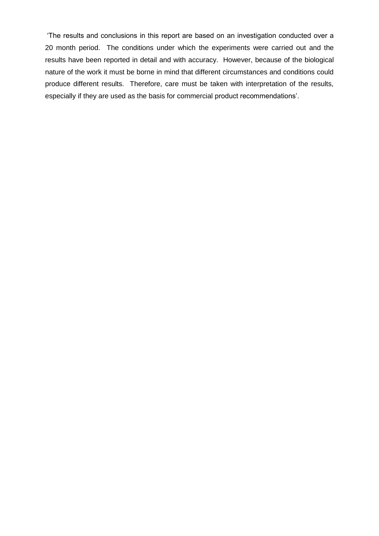"The results and conclusions in this report are based on an investigation conducted over a 20 month period. The conditions under which the experiments were carried out and the results have been reported in detail and with accuracy. However, because of the biological nature of the work it must be borne in mind that different circumstances and conditions could produce different results. Therefore, care must be taken with interpretation of the results, especially if they are used as the basis for commercial product recommendations".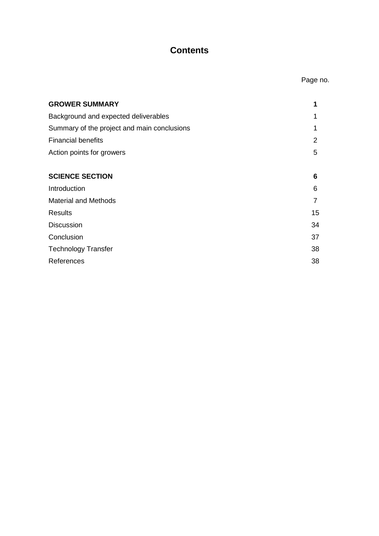# **Contents**

| <b>GROWER SUMMARY</b>                       |    |
|---------------------------------------------|----|
| Background and expected deliverables        | 1  |
| Summary of the project and main conclusions | 1  |
| <b>Financial benefits</b>                   | 2  |
| Action points for growers                   | 5  |
| <b>SCIENCE SECTION</b>                      | 6  |
| Introduction                                | 6  |
| <b>Material and Methods</b>                 | 7  |
| <b>Results</b>                              | 15 |
| <b>Discussion</b>                           | 34 |
| Conclusion                                  | 37 |
| <b>Technology Transfer</b>                  | 38 |
| References                                  | 38 |
|                                             |    |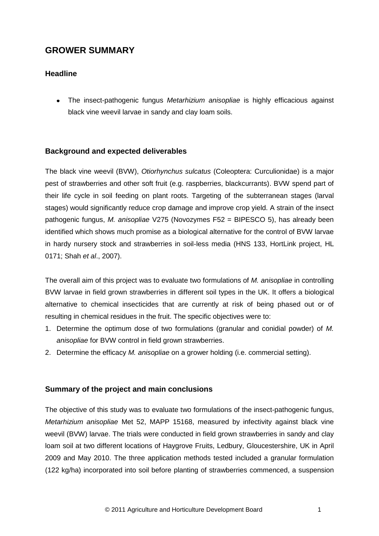# **GROWER SUMMARY**

# **Headline**

The insect-pathogenic fungus *Metarhizium anisopliae* is highly efficacious against black vine weevil larvae in sandy and clay loam soils.

## **Background and expected deliverables**

The black vine weevil (BVW), *Otiorhynchus sulcatus* (Coleoptera: Curculionidae) is a major pest of strawberries and other soft fruit (e.g. raspberries, blackcurrants). BVW spend part of their life cycle in soil feeding on plant roots. Targeting of the subterranean stages (larval stages) would significantly reduce crop damage and improve crop yield. A strain of the insect pathogenic fungus, *M. anisopliae* V275 (Novozymes F52 = BIPESCO 5), has already been identified which shows much promise as a biological alternative for the control of BVW larvae in hardy nursery stock and strawberries in soil-less media (HNS 133, HortLink project, HL 0171; Shah *et al*., 2007).

The overall aim of this project was to evaluate two formulations of *M. anisopliae* in controlling BVW larvae in field grown strawberries in different soil types in the UK. It offers a biological alternative to chemical insecticides that are currently at risk of being phased out or of resulting in chemical residues in the fruit. The specific objectives were to:

- 1. Determine the optimum dose of two formulations (granular and conidial powder) of *M. anisopliae* for BVW control in field grown strawberries.
- 2. Determine the efficacy *M. anisopliae* on a grower holding (i.e. commercial setting).

## **Summary of the project and main conclusions**

The objective of this study was to evaluate two formulations of the insect-pathogenic fungus, *Metarhizium anisopliae* Met 52, MAPP 15168, measured by infectivity against black vine weevil (BVW) larvae. The trials were conducted in field grown strawberries in sandy and clay loam soil at two different locations of Haygrove Fruits, Ledbury, Gloucestershire, UK in April 2009 and May 2010. The three application methods tested included a granular formulation (122 kg/ha) incorporated into soil before planting of strawberries commenced, a suspension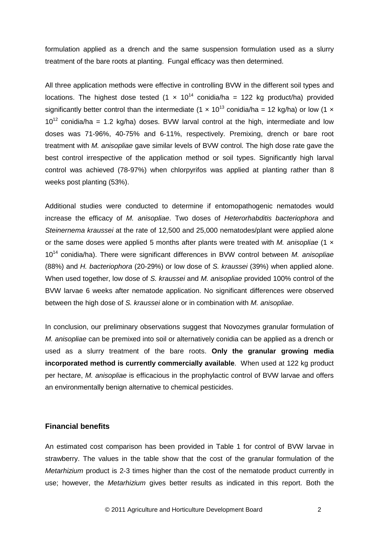formulation applied as a drench and the same suspension formulation used as a slurry treatment of the bare roots at planting. Fungal efficacy was then determined.

All three application methods were effective in controlling BVW in the different soil types and locations. The highest dose tested (1  $\times$  10<sup>14</sup> conidia/ha = 122 kg product/ha) provided significantly better control than the intermediate (1  $\times$  10<sup>13</sup> conidia/ha = 12 kg/ha) or low (1  $\times$  $10^{12}$  conidia/ha = 1.2 kg/ha) doses. BVW larval control at the high, intermediate and low doses was 71-96%, 40-75% and 6-11%, respectively. Premixing, drench or bare root treatment with *M. anisopliae* gave similar levels of BVW control. The high dose rate gave the best control irrespective of the application method or soil types. Significantly high larval control was achieved (78-97%) when chlorpyrifos was applied at planting rather than 8 weeks post planting (53%).

Additional studies were conducted to determine if entomopathogenic nematodes would increase the efficacy of *M. anisopliae*. Two doses of *Heterorhabditis bacteriophora* and *Steinernema kraussei* at the rate of 12,500 and 25,000 nematodes/plant were applied alone or the same doses were applied 5 months after plants were treated with *M. anisopliae* (1 × 10<sup>14</sup> conidia/ha). There were significant differences in BVW control between *M. anisopliae*  (88%) and *H. bacteriophora* (20-29%) or low dose of *S. kraussei* (39%) when applied alone. When used together, low dose of *S. kraussei* and *M. anisopliae* provided 100% control of the BVW larvae 6 weeks after nematode application. No significant differences were observed between the high dose of *S. kraussei* alone or in combination with *M. anisopliae*.

In conclusion, our preliminary observations suggest that Novozymes granular formulation of *M. anisopliae* can be premixed into soil or alternatively conidia can be applied as a drench or used as a slurry treatment of the bare roots. **Only the granular growing media incorporated method is currently commercially available**. When used at 122 kg product per hectare, *M. anisopliae* is efficacious in the prophylactic control of BVW larvae and offers an environmentally benign alternative to chemical pesticides.

### **Financial benefits**

An estimated cost comparison has been provided in Table 1 for control of BVW larvae in strawberry. The values in the table show that the cost of the granular formulation of the *Metarhizium* product is 2-3 times higher than the cost of the nematode product currently in use; however, the *Metarhizium* gives better results as indicated in this report. Both the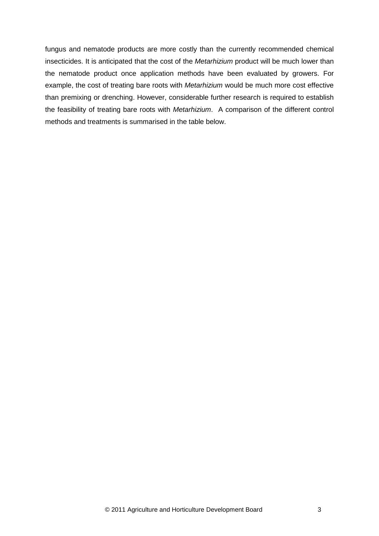fungus and nematode products are more costly than the currently recommended chemical insecticides. It is anticipated that the cost of the *Metarhizium* product will be much lower than the nematode product once application methods have been evaluated by growers. For example, the cost of treating bare roots with *Metarhizium* would be much more cost effective than premixing or drenching. However, considerable further research is required to establish the feasibility of treating bare roots with *Metarhizium*. A comparison of the different control methods and treatments is summarised in the table below.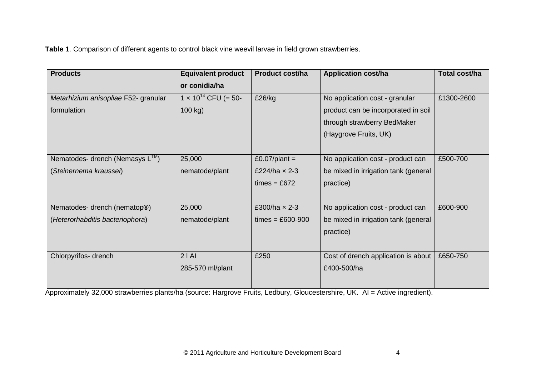**Table 1**. Comparison of different agents to control black vine weevil larvae in field grown strawberries.

| <b>Products</b>                             | <b>Equivalent product</b>     | <b>Product cost/ha</b> | <b>Application cost/ha</b>           | Total cost/ha |
|---------------------------------------------|-------------------------------|------------------------|--------------------------------------|---------------|
|                                             | or conidia/ha                 |                        |                                      |               |
| Metarhizium anisopliae F52- granular        | $1 \times 10^{14}$ CFU (= 50- | £26/kg                 | No application cost - granular       | £1300-2600    |
| formulation                                 | 100 kg)                       |                        | product can be incorporated in soil  |               |
|                                             |                               |                        | through strawberry BedMaker          |               |
|                                             |                               |                        | (Haygrove Fruits, UK)                |               |
|                                             |                               |                        |                                      |               |
| Nematodes- drench (Nemasys L <sup>™</sup> ) | 25,000                        | £0.07/plant =          | No application cost - product can    | £500-700      |
| (Steinernema kraussei)                      | nematode/plant                | £224/ha $\times$ 2-3   | be mixed in irrigation tank (general |               |
|                                             |                               | times = $£672$         | practice)                            |               |
|                                             |                               |                        |                                      |               |
| Nematodes- drench (nematop®)                | 25,000                        | £300/ha $\times$ 2-3   | No application cost - product can    | £600-900      |
| (Heterorhabditis bacteriophora)             | nematode/plant                | $times = £600-900$     | be mixed in irrigation tank (general |               |
|                                             |                               |                        | practice)                            |               |
|                                             |                               |                        |                                      |               |
| Chlorpyrifos- drench                        | 2 A                           | £250                   | Cost of drench application is about  | £650-750      |
|                                             | 285-570 ml/plant              |                        | £400-500/ha                          |               |
|                                             |                               |                        |                                      |               |

Approximately 32,000 strawberries plants/ha (source: Hargrove Fruits, Ledbury, Gloucestershire, UK. AI = Active ingredient).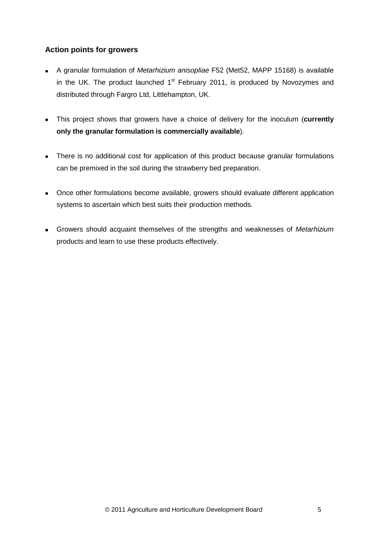# **Action points for growers**

- A granular formulation of *Metarhizium anisopliae* F52 (Met52, MAPP 15168) is available in the UK. The product launched  $1<sup>st</sup>$  February 2011, is produced by Novozymes and distributed through Fargro Ltd, Littlehampton, UK.
- This project shows that growers have a choice of delivery for the inoculum (**currently only the granular formulation is commercially available**).
- There is no additional cost for application of this product because granular formulations  $\bullet$ can be premixed in the soil during the strawberry bed preparation.
- Once other formulations become available, growers should evaluate different application systems to ascertain which best suits their production methods.
- Growers should acquaint themselves of the strengths and weaknesses of *Metarhizium* products and learn to use these products effectively.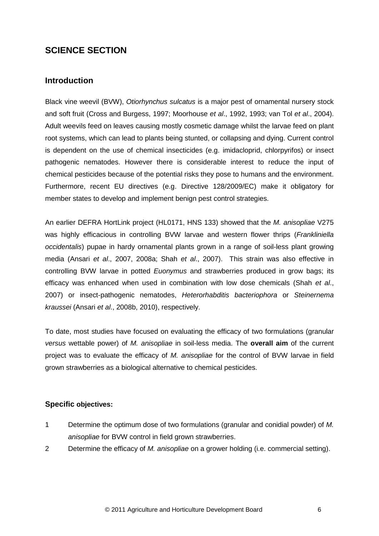# **SCIENCE SECTION**

## **Introduction**

Black vine weevil (BVW), *Otiorhynchus sulcatus* is a major pest of ornamental nursery stock and soft fruit (Cross and Burgess, 1997; Moorhouse *et al*., 1992, 1993; van Tol *et al*., 2004). Adult weevils feed on leaves causing mostly cosmetic damage whilst the larvae feed on plant root systems, which can lead to plants being stunted, or collapsing and dying. Current control is dependent on the use of chemical insecticides (e.g. imidacloprid, chlorpyrifos) or insect pathogenic nematodes. However there is considerable interest to reduce the input of chemical pesticides because of the potential risks they pose to humans and the environment. Furthermore, recent EU directives (e.g. Directive 128/2009/EC) make it obligatory for member states to develop and implement benign pest control strategies.

An earlier DEFRA HortLink project (HL0171, HNS 133) showed that the *M. anisopliae* V275 was highly efficacious in controlling BVW larvae and western flower thrips (*Frankliniella occidentalis*) pupae in hardy ornamental plants grown in a range of soil-less plant growing media (Ansari *et al*., 2007, 2008a; Shah *et al*., 2007). This strain was also effective in controlling BVW larvae in potted *Euonymus* and strawberries produced in grow bags; its efficacy was enhanced when used in combination with low dose chemicals (Shah *et al*., 2007) or insect-pathogenic nematodes, *Heterorhabditis bacteriophora* or *Steinernema kraussei* (Ansari *et al*., 2008b, 2010), respectively.

To date, most studies have focused on evaluating the efficacy of two formulations (granular *versus* wettable power) of *M. anisopliae* in soil-less media. The **overall aim** of the current project was to evaluate the efficacy of *M. anisopliae* for the control of BVW larvae in field grown strawberries as a biological alternative to chemical pesticides.

## **Specific objectives:**

- 1 Determine the optimum dose of two formulations (granular and conidial powder) of *M. anisopliae* for BVW control in field grown strawberries.
- 2 Determine the efficacy of *M. anisopliae* on a grower holding (i.e. commercial setting).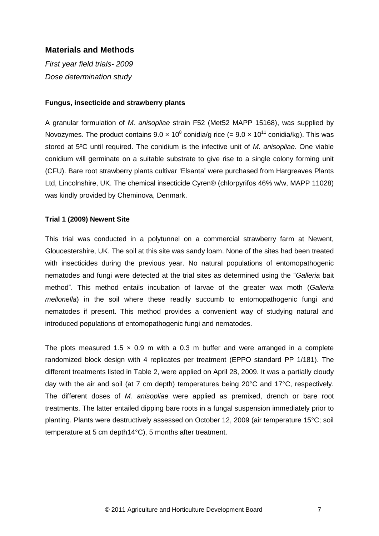## **Materials and Methods**

*First year field trials- 2009 Dose determination study*

#### **Fungus, insecticide and strawberry plants**

A granular formulation of *M. anisopliae* strain F52 (Met52 MAPP 15168), was supplied by Novozymes. The product contains 9.0  $\times$  10<sup>8</sup> conidia/g rice (= 9.0  $\times$  10<sup>11</sup> conidia/kg). This was stored at 5ºC until required. The conidium is the infective unit of *M. anisopliae*. One viable conidium will germinate on a suitable substrate to give rise to a single colony forming unit (CFU). Bare root strawberry plants cultivar "Elsanta" were purchased from Hargreaves Plants Ltd, Lincolnshire, UK. The chemical insecticide Cyren® (chlorpyrifos 46% w/w, MAPP 11028) was kindly provided by Cheminova, Denmark.

#### **Trial 1 (2009) Newent Site**

This trial was conducted in a polytunnel on a commercial strawberry farm at Newent, Gloucestershire, UK. The soil at this site was sandy loam. None of the sites had been treated with insecticides during the previous year. No natural populations of entomopathogenic nematodes and fungi were detected at the trial sites as determined using the "*Galleria* bait method". This method entails incubation of larvae of the greater wax moth (*Galleria mellonella*) in the soil where these readily succumb to entomopathogenic fungi and nematodes if present. This method provides a convenient way of studying natural and introduced populations of entomopathogenic fungi and nematodes.

The plots measured 1.5  $\times$  0.9 m with a 0.3 m buffer and were arranged in a complete randomized block design with 4 replicates per treatment (EPPO standard PP 1/181). The different treatments listed in Table 2, were applied on April 28, 2009. It was a partially cloudy day with the air and soil (at 7 cm depth) temperatures being 20°C and 17°C, respectively. The different doses of *M. anisopliae* were applied as premixed, drench or bare root treatments. The latter entailed dipping bare roots in a fungal suspension immediately prior to planting. Plants were destructively assessed on October 12, 2009 (air temperature 15°C; soil temperature at 5 cm depth14°C), 5 months after treatment.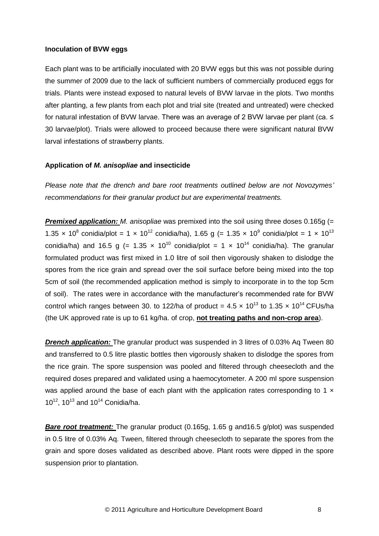### **Inoculation of BVW eggs**

Each plant was to be artificially inoculated with 20 BVW eggs but this was not possible during the summer of 2009 due to the lack of sufficient numbers of commercially produced eggs for trials. Plants were instead exposed to natural levels of BVW larvae in the plots. Two months after planting, a few plants from each plot and trial site (treated and untreated) were checked for natural infestation of BVW larvae. There was an average of 2 BVW larvae per plant (ca. ≤ 30 larvae/plot). Trials were allowed to proceed because there were significant natural BVW larval infestations of strawberry plants.

### **Application of** *M. anisopliae* **and insecticide**

*Please note that the drench and bare root treatments outlined below are not Novozymes' recommendations for their granular product but are experimental treatments.*

*Premixed application: M. anisopliae* was premixed into the soil using three doses 0.165g (= 1.35 x 10<sup>8</sup> conidia/plot = 1 x 10<sup>12</sup> conidia/ha), 1.65 g (= 1.35 x 10<sup>9</sup> conidia/plot = 1 x 10<sup>13</sup> conidia/ha) and 16.5 g (= 1.35 x 10<sup>10</sup> conidia/plot = 1 x 10<sup>14</sup> conidia/ha). The granular formulated product was first mixed in 1.0 litre of soil then vigorously shaken to dislodge the spores from the rice grain and spread over the soil surface before being mixed into the top 5cm of soil (the recommended application method is simply to incorporate in to the top 5cm of soil). The rates were in accordance with the manufacturer"s recommended rate for BVW control which ranges between 30. to 122/ha of product =  $4.5 \times 10^{13}$  to 1.35  $\times 10^{14}$  CFUs/ha (the UK approved rate is up to 61 kg/ha. of crop, **not treating paths and non-crop area**).

**Drench application:** The granular product was suspended in 3 litres of 0.03% Aq Tween 80 and transferred to 0.5 litre plastic bottles then vigorously shaken to dislodge the spores from the rice grain. The spore suspension was pooled and filtered through cheesecloth and the required doses prepared and validated using a haemocytometer. A 200 ml spore suspension was applied around the base of each plant with the application rates corresponding to 1  $\times$  $10^{12}$ ,  $10^{13}$  and  $10^{14}$  Conidia/ha.

**Bare root treatment:** The granular product (0.165g, 1.65 g and 16.5 g/plot) was suspended in 0.5 litre of 0.03% Aq. Tween, filtered through cheesecloth to separate the spores from the grain and spore doses validated as described above. Plant roots were dipped in the spore suspension prior to plantation.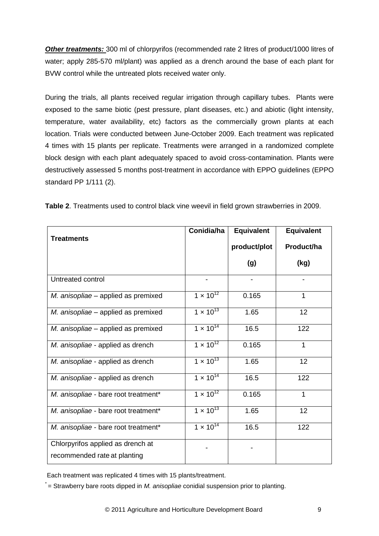**Other treatments:** 300 ml of chlorpyrifos (recommended rate 2 litres of product/1000 litres of water; apply 285-570 ml/plant) was applied as a drench around the base of each plant for BVW control while the untreated plots received water only.

During the trials, all plants received regular irrigation through capillary tubes. Plants were exposed to the same biotic (pest pressure, plant diseases, etc.) and abiotic (light intensity, temperature, water availability, etc) factors as the commercially grown plants at each location. Trials were conducted between June-October 2009. Each treatment was replicated 4 times with 15 plants per replicate. Treatments were arranged in a randomized complete block design with each plant adequately spaced to avoid cross-contamination. Plants were destructively assessed 5 months post-treatment in accordance with EPPO guidelines (EPPO standard PP 1/111 (2).

|                                      | Conidia/ha         | <b>Equivalent</b> | <b>Equivalent</b> |
|--------------------------------------|--------------------|-------------------|-------------------|
| <b>Treatments</b>                    |                    | product/plot      | Product/ha        |
|                                      |                    | (g)               | (kg)              |
| Untreated control                    |                    |                   |                   |
| M. anisopliae - applied as premixed  | $1 \times 10^{12}$ | 0.165             | 1                 |
| M. anisopliae - applied as premixed  | $1 \times 10^{13}$ | 1.65              | 12                |
| M. anisopliae - applied as premixed  | $1 \times 10^{14}$ | 16.5              | 122               |
| M. anisopliae - applied as drench    | $1 \times 10^{12}$ | 0.165             | 1                 |
| M. anisopliae - applied as drench    | $1 \times 10^{13}$ | 1.65              | 12                |
| M. anisopliae - applied as drench    | $1 \times 10^{14}$ | 16.5              | 122               |
| M. anisopliae - bare root treatment* | $1 \times 10^{12}$ | 0.165             | 1                 |
| M. anisopliae - bare root treatment* | $1 \times 10^{13}$ | 1.65              | 12                |
| M. anisopliae - bare root treatment* | $1 \times 10^{14}$ | 16.5              | 122               |
| Chlorpyrifos applied as drench at    |                    |                   |                   |
| recommended rate at planting         |                    |                   |                   |

**Table 2**. Treatments used to control black vine weevil in field grown strawberries in 2009.

Each treatment was replicated 4 times with 15 plants/treatment.

\* = Strawberry bare roots dipped in *M. anisopliae* conidial suspension prior to planting.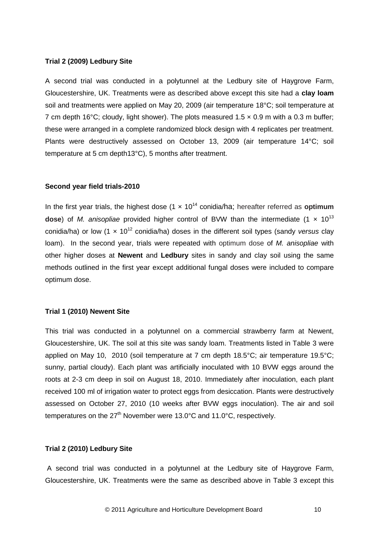#### **Trial 2 (2009) Ledbury Site**

A second trial was conducted in a polytunnel at the Ledbury site of Haygrove Farm, Gloucestershire, UK. Treatments were as described above except this site had a **clay loam** soil and treatments were applied on May 20, 2009 (air temperature 18°C; soil temperature at 7 cm depth 16°C; cloudy, light shower). The plots measured 1.5  $\times$  0.9 m with a 0.3 m buffer; these were arranged in a complete randomized block design with 4 replicates per treatment. Plants were destructively assessed on October 13, 2009 (air temperature 14°C; soil temperature at 5 cm depth13°C), 5 months after treatment.

#### **Second year field trials-2010**

In the first year trials, the highest dose (1 × 10<sup>14</sup> conidia/ha; hereafter referred as **optimum dose**) of *M. anisopliae* provided higher control of BVW than the intermediate  $(1 \times 10^{13})$ conidia/ha) or low (1 x 10<sup>12</sup> conidia/ha) doses in the different soil types (sandy *versus* clay loam). In the second year, trials were repeated with optimum dose of *M. anisopliae* with other higher doses at **Newent** and **Ledbury** sites in sandy and clay soil using the same methods outlined in the first year except additional fungal doses were included to compare optimum dose.

#### **Trial 1 (2010) Newent Site**

This trial was conducted in a polytunnel on a commercial strawberry farm at Newent, Gloucestershire, UK. The soil at this site was sandy loam. Treatments listed in Table 3 were applied on May 10, 2010 (soil temperature at 7 cm depth 18.5°C; air temperature 19.5°C; sunny, partial cloudy). Each plant was artificially inoculated with 10 BVW eggs around the roots at 2-3 cm deep in soil on August 18, 2010. Immediately after inoculation, each plant received 100 ml of irrigation water to protect eggs from desiccation. Plants were destructively assessed on October 27, 2010 (10 weeks after BVW eggs inoculation). The air and soil temperatures on the  $27<sup>th</sup>$  November were 13.0°C and 11.0°C, respectively.

#### **Trial 2 (2010) Ledbury Site**

A second trial was conducted in a polytunnel at the Ledbury site of Haygrove Farm, Gloucestershire, UK. Treatments were the same as described above in Table 3 except this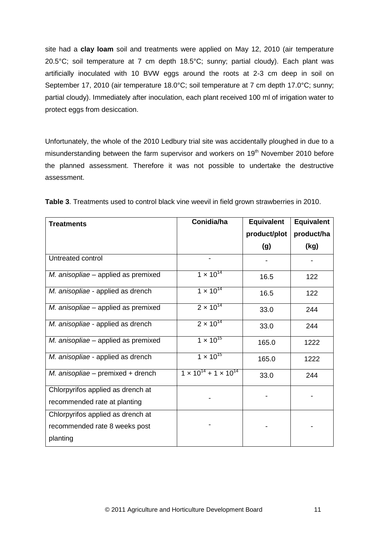site had a **clay loam** soil and treatments were applied on May 12, 2010 (air temperature 20.5°C; soil temperature at 7 cm depth 18.5°C; sunny; partial cloudy). Each plant was artificially inoculated with 10 BVW eggs around the roots at 2-3 cm deep in soil on September 17, 2010 (air temperature 18.0°C; soil temperature at 7 cm depth 17.0°C; sunny; partial cloudy). Immediately after inoculation, each plant received 100 ml of irrigation water to protect eggs from desiccation.

Unfortunately, the whole of the 2010 Ledbury trial site was accidentally ploughed in due to a misunderstanding between the farm supervisor and workers on 19<sup>th</sup> November 2010 before the planned assessment. Therefore it was not possible to undertake the destructive assessment.

| <b>Treatments</b>                   | Conidia/ha                            | <b>Equivalent</b> | <b>Equivalent</b> |
|-------------------------------------|---------------------------------------|-------------------|-------------------|
|                                     |                                       | product/plot      | product/ha        |
|                                     |                                       | (g)               | (kg)              |
| Untreated control                   |                                       |                   |                   |
| M. anisopliae – applied as premixed | $1 \times 10^{14}$                    | 16.5              | 122               |
| M. anisopliae - applied as drench   | $1 \times 10^{14}$                    | 16.5              | 122               |
| M. anisopliae - applied as premixed | $2 \times 10^{14}$                    | 33.0              | 244               |
| M. anisopliae - applied as drench   | $2 \times 10^{14}$                    | 33.0              | 244               |
| M. anisopliae - applied as premixed | $1 \times 10^{15}$                    | 165.0             | 1222              |
| M. anisopliae - applied as drench   | $1 \times 10^{15}$                    | 165.0             | 1222              |
| M. anisopliae - premixed + drench   | $1 \times 10^{14} + 1 \times 10^{14}$ | 33.0              | 244               |
| Chlorpyrifos applied as drench at   |                                       |                   |                   |
| recommended rate at planting        |                                       |                   |                   |
| Chlorpyrifos applied as drench at   |                                       |                   |                   |
| recommended rate 8 weeks post       |                                       |                   |                   |
| planting                            |                                       |                   |                   |

**Table 3**. Treatments used to control black vine weevil in field grown strawberries in 2010.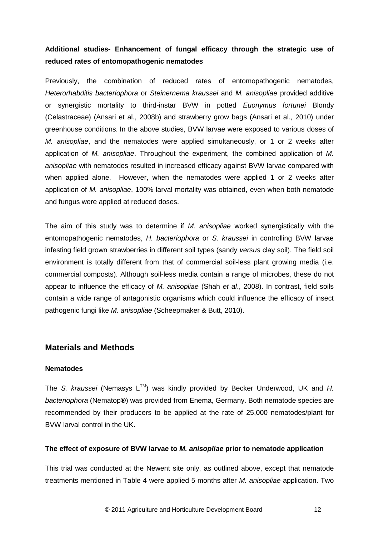# **Additional studies- Enhancement of fungal efficacy through the strategic use of reduced rates of entomopathogenic nematodes**

Previously, the combination of reduced rates of entomopathogenic nematodes, *Heterorhabditis bacteriophora* or *Steinernema kraussei* and *M. anisopliae* provided additive or synergistic mortality to third-instar BVW in potted *Euonymus fortunei* Blondy (Celastraceae) (Ansari et al., 2008b) and strawberry grow bags (Ansari et al., 2010) under greenhouse conditions. In the above studies, BVW larvae were exposed to various doses of *M. anisopliae*, and the nematodes were applied simultaneously, or 1 or 2 weeks after application of *M. anisopliae*. Throughout the experiment, the combined application of *M. anisopliae* with nematodes resulted in increased efficacy against BVW larvae compared with when applied alone. However, when the nematodes were applied 1 or 2 weeks after application of *M. anisopliae*, 100% larval mortality was obtained, even when both nematode and fungus were applied at reduced doses.

The aim of this study was to determine if *M. anisopliae* worked synergistically with the entomopathogenic nematodes, *H. bacteriophora* or *S. kraussei* in controlling BVW larvae infesting field grown strawberries in different soil types (sandy *versus* clay soil). The field soil environment is totally different from that of commercial soil-less plant growing media (i.e. commercial composts). Although soil-less media contain a range of microbes, these do not appear to influence the efficacy of *M. anisopliae* (Shah *et al*., 2008). In contrast, field soils contain a wide range of antagonistic organisms which could influence the efficacy of insect pathogenic fungi like *M. anisopliae* (Scheepmaker & Butt, 2010).

## **Materials and Methods**

#### **Nematodes**

The S. kraussei (Nemasys L™) was kindly provided by Becker Underwood, UK and H. *bacteriophora* (Nematop**®**) was provided from Enema, Germany. Both nematode species are recommended by their producers to be applied at the rate of 25,000 nematodes/plant for BVW larval control in the UK.

#### **The effect of exposure of BVW larvae to** *M. anisopliae* **prior to nematode application**

This trial was conducted at the Newent site only, as outlined above, except that nematode treatments mentioned in Table 4 were applied 5 months after *M. anisopliae* application. Two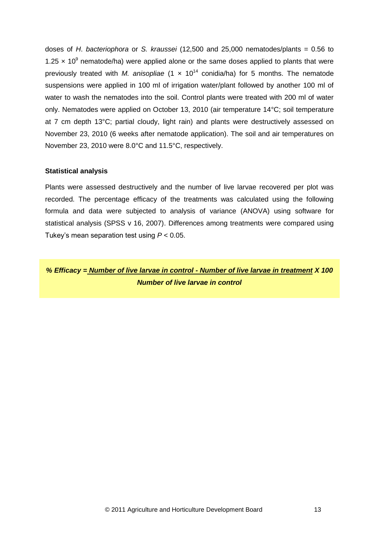doses of *H*. *bacteriophora* or *S. kraussei* (12,500 and 25,000 nematodes/plants = 0.56 to 1.25  $\times$  10<sup>9</sup> nematode/ha) were applied alone or the same doses applied to plants that were previously treated with *M. anisopliae*  $(1 \times 10^{14} \text{ conidia/ha})$  for 5 months. The nematode suspensions were applied in 100 ml of irrigation water/plant followed by another 100 ml of water to wash the nematodes into the soil. Control plants were treated with 200 ml of water only. Nematodes were applied on October 13, 2010 (air temperature 14°C; soil temperature at 7 cm depth 13°C; partial cloudy, light rain) and plants were destructively assessed on November 23, 2010 (6 weeks after nematode application). The soil and air temperatures on November 23, 2010 were 8.0°C and 11.5°C, respectively.

#### **Statistical analysis**

Plants were assessed destructively and the number of live larvae recovered per plot was recorded. The percentage efficacy of the treatments was calculated using the following formula and data were subjected to analysis of variance (ANOVA) using software for statistical analysis (SPSS v 16, 2007). Differences among treatments were compared using Tukey"s mean separation test using *P* < 0.05.

*% Efficacy = Number of live larvae in control - Number of live larvae in treatment X 100 Number of live larvae in control*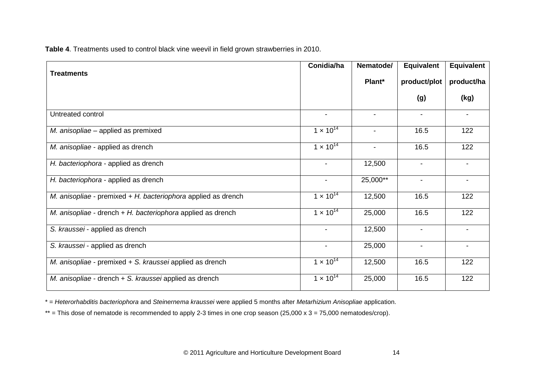**Table 4**. Treatments used to control black vine weevil in field grown strawberries in 2010.

|                                                                  | Conidia/ha               | Nematode/                | <b>Equivalent</b>        | Equivalent               |
|------------------------------------------------------------------|--------------------------|--------------------------|--------------------------|--------------------------|
| <b>Treatments</b>                                                |                          | Plant*                   | product/plot             | product/ha               |
|                                                                  |                          |                          | (g)                      | (kg)                     |
| Untreated control                                                | $\blacksquare$           | $\blacksquare$           | $\blacksquare$           |                          |
| M. anisopliae – applied as premixed                              | $1 \times 10^{14}$       |                          | 16.5                     | 122                      |
| M. anisopliae - applied as drench                                | $1 \times 10^{14}$       | $\overline{\phantom{a}}$ | 16.5                     | 122                      |
| H. bacteriophora - applied as drench                             | $\blacksquare$           | 12,500                   | $\overline{\phantom{0}}$ | $\overline{\phantom{0}}$ |
| H. bacteriophora - applied as drench                             | $\blacksquare$           | 25,000**                 | -                        |                          |
| M. anisopliae - premixed $+ H$ . bacteriophora applied as drench | $1 \times 10^{14}$       | 12,500                   | 16.5                     | 122                      |
| M. anisopliae - drench + H. bacteriophora applied as drench      | $1 \times 10^{14}$       | 25,000                   | 16.5                     | 122                      |
| S. kraussei - applied as drench                                  | $\blacksquare$           | 12,500                   | $\blacksquare$           |                          |
| S. kraussei - applied as drench                                  | $\overline{\phantom{a}}$ | 25,000                   | $\blacksquare$           | $\overline{\phantom{0}}$ |
| M. anisopliae - premixed + S. kraussei applied as drench         | $1 \times 10^{14}$       | 12,500                   | 16.5                     | 122                      |
| M. anisopliae - drench + S. kraussei applied as drench           | $1 \times 10^{14}$       | 25,000                   | 16.5                     | 122                      |

\* = *Heterorhabditis bacteriophora* and *Steinernema kraussei* were applied 5 months after *Metarhizium Anisopliae* application.

\*\* = This dose of nematode is recommended to apply 2-3 times in one crop season (25,000 x 3 = 75,000 nematodes/crop).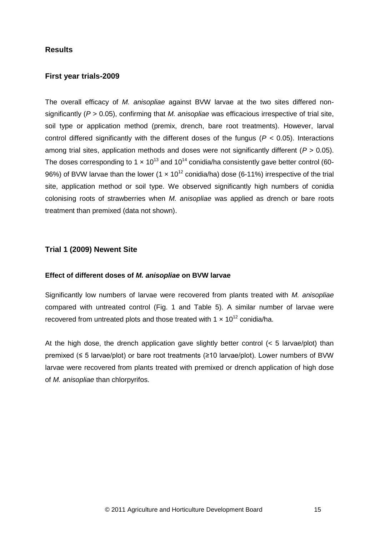## **Results**

### **First year trials-2009**

The overall efficacy of *M. anisopliae* against BVW larvae at the two sites differed nonsignificantly (*P >* 0.05), confirming that *M. anisopliae* was efficacious irrespective of trial site, soil type or application method (premix, drench, bare root treatments). However, larval control differed significantly with the different doses of the fungus (*P <* 0.05). Interactions among trial sites, application methods and doses were not significantly different (*P >* 0.05). The doses corresponding to 1  $\times$  10<sup>13</sup> and 10<sup>14</sup> conidia/ha consistently gave better control (60-96%) of BVW larvae than the lower (1  $\times$  10<sup>12</sup> conidia/ha) dose (6-11%) irrespective of the trial site, application method or soil type. We observed significantly high numbers of conidia colonising roots of strawberries when *M. anisopliae* was applied as drench or bare roots treatment than premixed (data not shown).

#### **Trial 1 (2009) Newent Site**

#### **Effect of different doses of** *M. anisopliae* **on BVW larvae**

Significantly low numbers of larvae were recovered from plants treated with *M. anisopliae* compared with untreated control (Fig. 1 and Table 5). A similar number of larvae were recovered from untreated plots and those treated with 1  $\times$  10<sup>12</sup> conidia/ha.

At the high dose, the drench application gave slightly better control (< 5 larvae/plot) than premixed (≤ 5 larvae/plot) or bare root treatments (≥10 larvae/plot). Lower numbers of BVW larvae were recovered from plants treated with premixed or drench application of high dose of *M. anisopliae* than chlorpyrifos.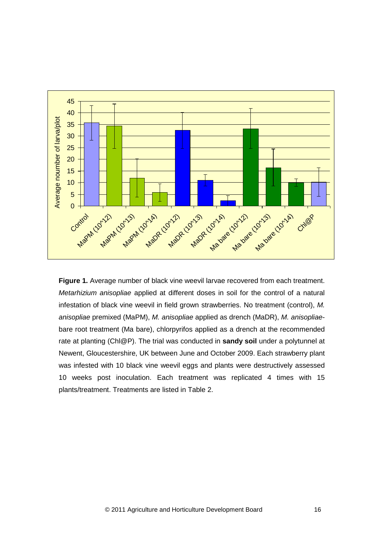

**Figure 1.** Average number of black vine weevil larvae recovered from each treatment. *Metarhizium anisopliae* applied at different doses in soil for the control of a natural infestation of black vine weevil in field grown strawberries. No treatment (control), *M. anisopliae* premixed (MaPM), *M. anisopliae* applied as drench (MaDR), *M. anisopliae*bare root treatment (Ma bare), chlorpyrifos applied as a drench at the recommended rate at planting (Chl@P). The trial was conducted in **sandy soil** under a polytunnel at Newent, Gloucestershire, UK between June and October 2009. Each strawberry plant was infested with 10 black vine weevil eggs and plants were destructively assessed 10 weeks post inoculation. Each treatment was replicated 4 times with 15 plants/treatment. Treatments are listed in Table 2.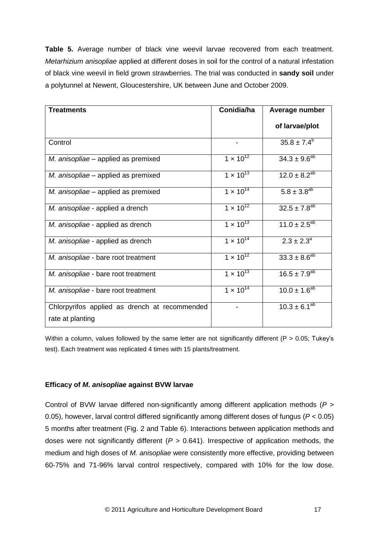**Table 5.** Average number of black vine weevil larvae recovered from each treatment. *Metarhizium anisopliae* applied at different doses in soil for the control of a natural infestation of black vine weevil in field grown strawberries. The trial was conducted in **sandy soil** under a polytunnel at Newent, Gloucestershire, UK between June and October 2009.

| <b>Treatments</b>                                                 | Conidia/ha         | Average number                 |
|-------------------------------------------------------------------|--------------------|--------------------------------|
|                                                                   |                    | of larvae/plot                 |
| Control                                                           |                    | $35.8 \pm 7.4^b$               |
| M. anisopliae - applied as premixed                               | $1 \times 10^{12}$ | $34.3 \pm 9.6^{ab}$            |
| M. anisopliae - applied as premixed                               | $1 \times 10^{13}$ | $12.0 \pm 8.2^{ab}$            |
| M. anisopliae - applied as premixed                               | $1 \times 10^{14}$ | $5.8 \pm 3.8^{ab}$             |
| M. anisopliae - applied a drench                                  | $1 \times 10^{12}$ | $32.5 \pm 7.8^{ab}$            |
| M. anisopliae - applied as drench                                 | $1 \times 10^{13}$ | $11.0 \pm 2.5^{ab}$            |
| M. anisopliae - applied as drench                                 | $1 \times 10^{14}$ | $2.3 \pm 2.3^{\circ}$          |
| M. anisopliae - bare root treatment                               | $1 \times 10^{12}$ | $33.3 \pm 8.6^{ab}$            |
| M. anisopliae - bare root treatment                               | $1 \times 10^{13}$ | $16.5 \pm 7.9^{ab}$            |
| M. anisopliae - bare root treatment                               | $1 \times 10^{14}$ | $10.0 \pm 1.6^{ab}$            |
| Chlorpyrifos applied as drench at recommended<br>rate at planting |                    | $10.3 \pm 6.\overline{1^{ab}}$ |
|                                                                   |                    |                                |

Within a column, values followed by the same letter are not significantly different ( $P > 0.05$ ; Tukey's test). Each treatment was replicated 4 times with 15 plants/treatment.

### **Efficacy of** *M. anisopliae* **against BVW larvae**

Control of BVW larvae differed non-significantly among different application methods (*P >* 0.05), however, larval control differed significantly among different doses of fungus (*P <* 0.05) 5 months after treatment (Fig. 2 and Table 6). Interactions between application methods and doses were not significantly different (*P >* 0.641). Irrespective of application methods, the medium and high doses of *M. anisopliae* were consistently more effective, providing between 60-75% and 71-96% larval control respectively, compared with 10% for the low dose.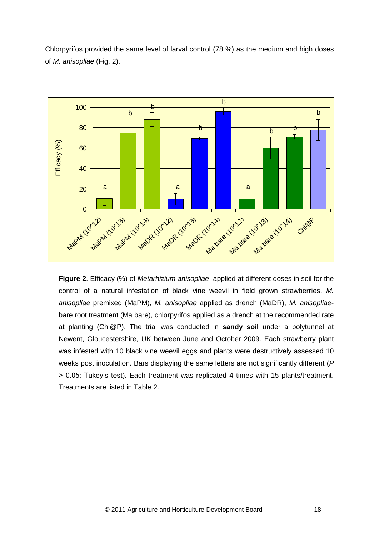Chlorpyrifos provided the same level of larval control (78 %) as the medium and high doses of *M. anisopliae* (Fig. 2).



**Figure 2**. Efficacy (%) of *Metarhizium anisopliae*, applied at different doses in soil for the control of a natural infestation of black vine weevil in field grown strawberries. *M. anisopliae* premixed (MaPM), *M. anisopliae* applied as drench (MaDR), *M. anisopliae*bare root treatment (Ma bare), chlorpyrifos applied as a drench at the recommended rate at planting (Chl@P). The trial was conducted in **sandy soil** under a polytunnel at Newent, Gloucestershire, UK between June and October 2009. Each strawberry plant was infested with 10 black vine weevil eggs and plants were destructively assessed 10 weeks post inoculation. Bars displaying the same letters are not significantly different (*P* > 0.05; Tukey"s test). Each treatment was replicated 4 times with 15 plants/treatment. Treatments are listed in Table 2.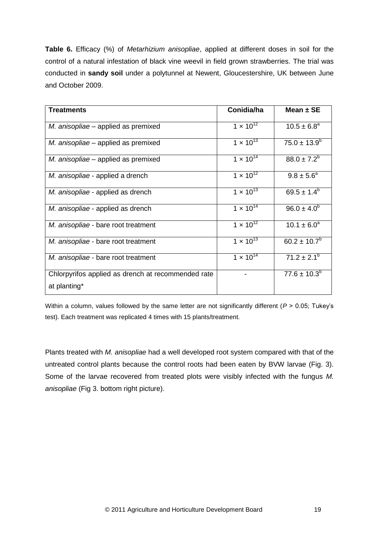**Table 6.** Efficacy (%) of *Metarhizium anisopliae*, applied at different doses in soil for the control of a natural infestation of black vine weevil in field grown strawberries. The trial was conducted in **sandy soil** under a polytunnel at Newent, Gloucestershire, UK between June and October 2009.

| <b>Treatments</b>                                                  | Conidia/ha                  | Mean $\pm$ SE      |
|--------------------------------------------------------------------|-----------------------------|--------------------|
| M. anisopliae – applied as premixed                                | $1 \times 10^{12}$          | $10.5 \pm 6.8^a$   |
| M. anisopliae – applied as premixed                                | $1 \times 10^{13}$          | $75.0 \pm 13.9^b$  |
| M. anisopliae – applied as premixed                                | $1 \times 10^{14}$          | $88.0 \pm 7.2^b$   |
| M. anisopliae - applied a drench                                   | $1 \times 10^{12}$          | $9.8 \pm 5.6^a$    |
| M. anisopliae - applied as drench                                  | 1 $\times$ 10 <sup>13</sup> | $69.5 \pm 1.4^b$   |
| M. anisopliae - applied as drench                                  | $1 \times 10^{14}$          | $96.0 \pm 4.0^{b}$ |
| M. anisopliae - bare root treatment                                | $1 \times 10^{12}$          | $10.1 \pm 6.0^a$   |
| M. anisopliae - bare root treatment                                | $1 \times 10^{13}$          | $60.2 \pm 10.7^b$  |
| M. anisopliae - bare root treatment                                | $1 \times 10^{14}$          | $71.2 \pm 2.1^b$   |
| Chlorpyrifos applied as drench at recommended rate<br>at planting* |                             | $77.6 \pm 10.3^b$  |
|                                                                    |                             |                    |

Within a column, values followed by the same letter are not significantly different (*P* > 0.05; Tukey"s test). Each treatment was replicated 4 times with 15 plants/treatment.

Plants treated with *M. anisopliae* had a well developed root system compared with that of the untreated control plants because the control roots had been eaten by BVW larvae (Fig. 3). Some of the larvae recovered from treated plots were visibly infected with the fungus *M. anisopliae* (Fig 3. bottom right picture).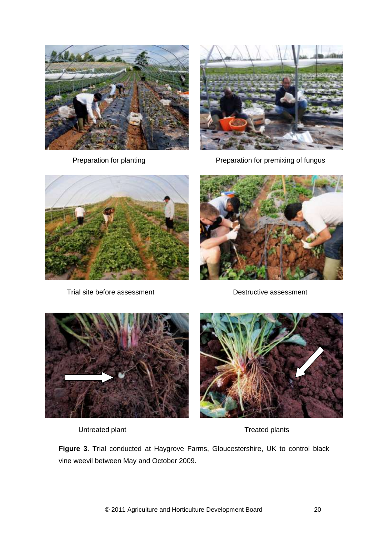



Preparation for planting Preparation for premixing of fungus



Trial site before assessment Trial site before assessment





Untreated plant Treated plants



**Figure 3**. Trial conducted at Haygrove Farms, Gloucestershire, UK to control black vine weevil between May and October 2009.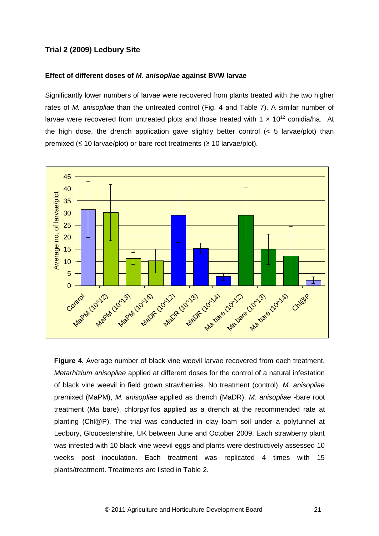## **Trial 2 (2009) Ledbury Site**

#### **Effect of different doses of** *M. anisopliae* **against BVW larvae**

Significantly lower numbers of larvae were recovered from plants treated with the two higher rates of *M. anisopliae* than the untreated control (Fig. 4 and Table 7). A similar number of larvae were recovered from untreated plots and those treated with 1  $\times$  10<sup>12</sup> conidia/ha. At the high dose, the drench application gave slightly better control  $\left($  < 5 larvae/plot) than premixed ( $\leq 10$  larvae/plot) or bare root treatments ( $\geq 10$  larvae/plot).



**Figure 4**. Average number of black vine weevil larvae recovered from each treatment. *Metarhizium anisopliae* applied at different doses for the control of a natural infestation of black vine weevil in field grown strawberries. No treatment (control), *M. anisopliae*  premixed (MaPM), *M. anisopliae* applied as drench (MaDR), *M. anisopliae* -bare root treatment (Ma bare), chlorpyrifos applied as a drench at the recommended rate at planting (Chl@P). The trial was conducted in clay loam soil under a polytunnel at Ledbury, Gloucestershire, UK between June and October 2009. Each strawberry plant was infested with 10 black vine weevil eggs and plants were destructively assessed 10 weeks post inoculation. Each treatment was replicated 4 times with 15 plants/treatment. Treatments are listed in Table 2.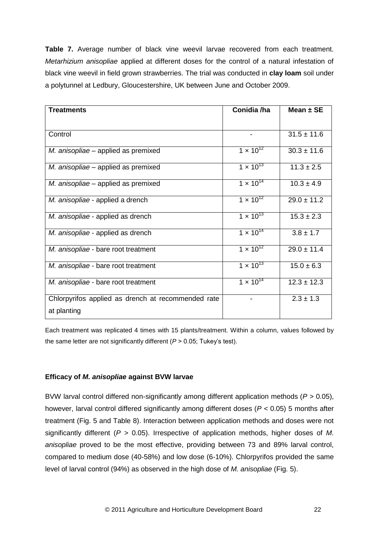**Table 7.** Average number of black vine weevil larvae recovered from each treatment. *Metarhizium anisopliae* applied at different doses for the control of a natural infestation of black vine weevil in field grown strawberries. The trial was conducted in **clay loam** soil under a polytunnel at Ledbury, Gloucestershire, UK between June and October 2009.

| <b>Treatments</b>                                  | Conidia /ha                   | Mean $\pm$ SE   |
|----------------------------------------------------|-------------------------------|-----------------|
|                                                    |                               |                 |
| Control                                            |                               | $31.5 \pm 11.6$ |
| M. anisopliae – applied as premixed                | $1 \times 10^{12}$            | $30.3 \pm 11.6$ |
| M. anisopliae – applied as premixed                | $1 \times \overline{10^{13}}$ | $11.3 \pm 2.5$  |
| M. anisopliae – applied as premixed                | $1 \times 10^{14}$            | $10.3 \pm 4.9$  |
| M. anisopliae - applied a drench                   | $1 \times 10^{12}$            | $29.0 \pm 11.2$ |
| M. anisopliae - applied as drench                  | $1 \times 10^{13}$            | $15.3 \pm 2.3$  |
| M. anisopliae - applied as drench                  | $1 \times 10^{14}$            | $3.8 \pm 1.7$   |
| M. anisopliae - bare root treatment                | $1 \times 10^{12}$            | $29.0 \pm 11.4$ |
| M. anisopliae - bare root treatment                | $1 \times 10^{13}$            | $15.0 \pm 6.3$  |
| M. anisopliae - bare root treatment                | $1 \times 10^{14}$            | $12.3 \pm 12.3$ |
| Chlorpyrifos applied as drench at recommended rate |                               | $2.3 \pm 1.3$   |
| at planting                                        |                               |                 |

Each treatment was replicated 4 times with 15 plants/treatment. Within a column, values followed by the same letter are not significantly different (*P* > 0.05; Tukey"s test).

### **Efficacy of** *M. anisopliae* **against BVW larvae**

BVW larval control differed non-significantly among different application methods (*P >* 0.05), however, larval control differed significantly among different doses (*P <* 0.05) 5 months after treatment (Fig. 5 and Table 8). Interaction between application methods and doses were not significantly different (*P >* 0.05). Irrespective of application methods, higher doses of *M. anisopliae* proved to be the most effective, providing between 73 and 89% larval control, compared to medium dose (40-58%) and low dose (6-10%). Chlorpyrifos provided the same level of larval control (94%) as observed in the high dose of *M. anisopliae* (Fig. 5).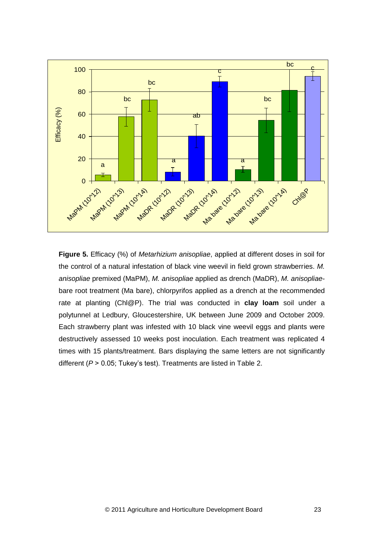

**Figure 5.** Efficacy (%) of *Metarhizium anisopliae*, applied at different doses in soil for the control of a natural infestation of black vine weevil in field grown strawberries. *M. anisopliae* premixed (MaPM), *M. anisopliae* applied as drench (MaDR), *M. anisopliae*bare root treatment (Ma bare), chlorpyrifos applied as a drench at the recommended rate at planting (Chl@P). The trial was conducted in **clay loam** soil under a polytunnel at Ledbury, Gloucestershire, UK between June 2009 and October 2009. Each strawberry plant was infested with 10 black vine weevil eggs and plants were destructively assessed 10 weeks post inoculation. Each treatment was replicated 4 times with 15 plants/treatment. Bars displaying the same letters are not significantly different ( $P > 0.05$ ; Tukey's test). Treatments are listed in Table 2.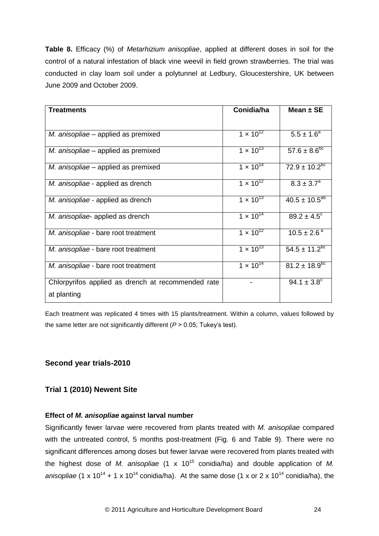**Table 8.** Efficacy (%) of *Metarhizium anisopliae*, applied at different doses in soil for the control of a natural infestation of black vine weevil in field grown strawberries. The trial was conducted in clay loam soil under a polytunnel at Ledbury, Gloucestershire, UK between June 2009 and October 2009.

| <b>Treatments</b>                                                 | Conidia/ha         | Mean $\pm$ SE             |
|-------------------------------------------------------------------|--------------------|---------------------------|
|                                                                   |                    |                           |
| M. anisopliae – applied as premixed                               | $1 \times 10^{12}$ | $5.5 \pm 1.6^a$           |
| M. anisopliae – applied as premixed                               | $1 \times 10^{13}$ | $57.6 \pm 8.6^{bc}$       |
| M. anisopliae – applied as premixed                               | $1 \times 10^{14}$ | $72.9 \pm 10.2^{bc}$      |
| M. anisopliae - applied as drench                                 | $1 \times 10^{12}$ | $8.3 \pm 3.7^{\circ}$     |
| M. anisopliae - applied as drench                                 | $1 \times 10^{13}$ | $40.5 \pm 10.5^{ab}$      |
| M. anisopliae- applied as drench                                  | $1 \times 10^{14}$ | $89.2 \pm 4.5^{\circ}$    |
| M. anisopliae - bare root treatment                               | $1 \times 10^{12}$ | $10.5 \pm 2.6^{\text{a}}$ |
| M. anisopliae - bare root treatment                               | $1 \times 10^{13}$ | $54.5 \pm 11.2^{bc}$      |
| M. anisopliae - bare root treatment                               | $1 \times 10^{14}$ | $81.2 \pm 18.9^{bc}$      |
| Chlorpyrifos applied as drench at recommended rate<br>at planting |                    | $94.1 \pm 3.8^{\circ}$    |

Each treatment was replicated 4 times with 15 plants/treatment. Within a column, values followed by the same letter are not significantly different  $(P > 0.05$ ; Tukey's test).

## **Second year trials-2010**

### **Trial 1 (2010) Newent Site**

### **Effect of** *M. anisopliae* **against larval number**

Significantly fewer larvae were recovered from plants treated with *M. anisopliae* compared with the untreated control, 5 months post-treatment (Fig. 6 and Table 9). There were no significant differences among doses but fewer larvae were recovered from plants treated with the highest dose of *M. anisopliae* (1 x 10<sup>15</sup> conidia/ha) and double application of *M. anisopliae* (1 x 10<sup>14</sup> + 1 x 10<sup>14</sup> conidia/ha). At the same dose (1 x or 2 x 10<sup>14</sup> conidia/ha), the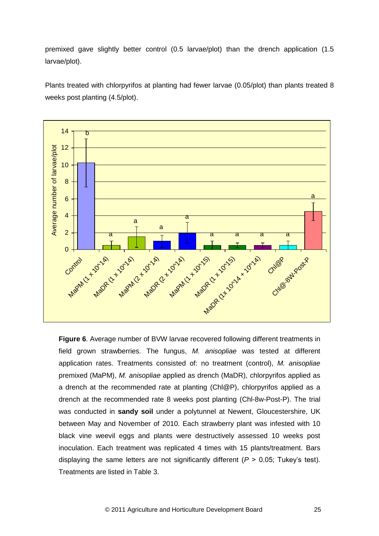premixed gave slightly better control (0.5 larvae/plot) than the drench application (1.5 larvae/plot).

Plants treated with chlorpyrifos at planting had fewer larvae (0.05/plot) than plants treated 8 weeks post planting (4.5/plot).



**Figure 6**. Average number of BVW larvae recovered following different treatments in field grown strawberries. The fungus, *M. anisopliae* was tested at different application rates. Treatments consisted of: no treatment (control), *M. anisopliae*  premixed (MaPM), *M. anisopliae* applied as drench (MaDR), chlorpyrifos applied as a drench at the recommended rate at planting (Chl@P), chlorpyrifos applied as a drench at the recommended rate 8 weeks post planting (Chl-8w-Post-P). The trial was conducted in **sandy soil** under a polytunnel at Newent, Gloucestershire, UK between May and November of 2010. Each strawberry plant was infested with 10 black vine weevil eggs and plants were destructively assessed 10 weeks post inoculation. Each treatment was replicated 4 times with 15 plants/treatment. Bars displaying the same letters are not significantly different ( $P > 0.05$ ; Tukey's test). Treatments are listed in Table 3.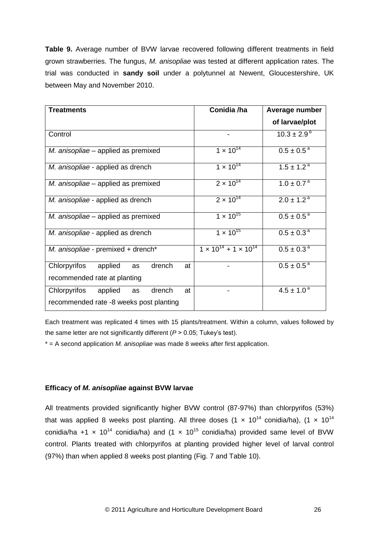**Table 9.** Average number of BVW larvae recovered following different treatments in field grown strawberries. The fungus, *M. anisopliae* was tested at different application rates. The trial was conducted in **sandy soil** under a polytunnel at Newent, Gloucestershire, UK between May and November 2010.

| <b>Treatments</b>                                    | Conidia /ha                           | Average number             |
|------------------------------------------------------|---------------------------------------|----------------------------|
|                                                      |                                       | of larvae/plot             |
| Control                                              |                                       | $10.3 \pm 2.9^{b}$         |
| M. anisopliae – applied as premixed                  | $1 \times 10^{14}$                    | $0.5 \pm 0.5^{\text{a}}$   |
| M. anisopliae - applied as drench                    | $1 \times 10^{14}$                    | $1.5 \pm 1.2^{\text{a}}$   |
| M. anisopliae – applied as premixed                  | $2 \times 10^{14}$                    | $1.0 \pm 0.7^{\text{a}}$   |
| M. anisopliae - applied as drench                    | $2 \times 10^{14}$                    | $2.0 \pm 1.2$ <sup>a</sup> |
| M. anisopliae – applied as premixed                  | $1 \times 10^{15}$                    | $0.5 \pm 0.5^{\text{a}}$   |
| M. anisopliae - applied as drench                    | $1 \times 10^{15}$                    | $0.5 \pm 0.3^{\text{a}}$   |
| M. anisopliae - premixed + drench*                   | $1 \times 10^{14} + 1 \times 10^{14}$ | $0.5 \pm 0.3^{\text{a}}$   |
| Chlorpyrifos<br>drench<br>applied<br>at<br><b>as</b> |                                       | $0.5 \pm 0.5^{\text{a}}$   |
| recommended rate at planting                         |                                       |                            |
| Chlorpyrifos<br>drench<br>applied<br>at<br>as        |                                       | $4.5 \pm 1.0^{\text{a}}$   |
| recommended rate -8 weeks post planting              |                                       |                            |

Each treatment was replicated 4 times with 15 plants/treatment. Within a column, values followed by the same letter are not significantly different (*P* > 0.05; Tukey"s test).

\* = A second application *M. anisopliae* was made 8 weeks after first application.

### **Efficacy of** *M. anisopliae* **against BVW larvae**

All treatments provided significantly higher BVW control (87-97%) than chlorpyrifos (53%) that was applied 8 weeks post planting. All three doses  $(1 \times 10^{14} \text{ conidia/ha})$ ,  $(1 \times 10^{14} \text{ cm}^2)$ conidia/ha +1  $\times$  10<sup>14</sup> conidia/ha) and (1  $\times$  10<sup>15</sup> conidia/ha) provided same level of BVW control. Plants treated with chlorpyrifos at planting provided higher level of larval control (97%) than when applied 8 weeks post planting (Fig. 7 and Table 10).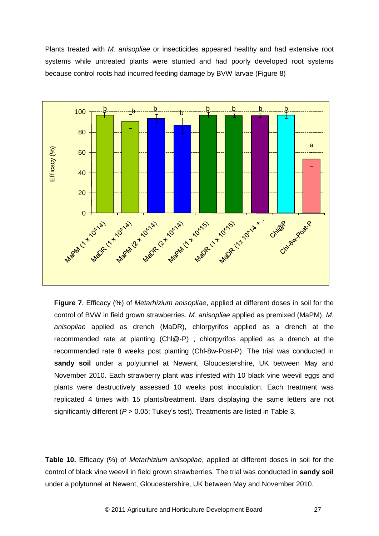Plants treated with *M. anisopliae* or insecticides appeared healthy and had extensive root systems while untreated plants were stunted and had poorly developed root systems because control roots had incurred feeding damage by BVW larvae (Figure 8)



**Figure 7**. Efficacy (%) of *Metarhizium anisopliae*, applied at different doses in soil for the control of BVW in field grown strawberries. *M. anisopliae* applied as premixed (MaPM), *M. anisopliae* applied as drench (MaDR), chlorpyrifos applied as a drench at the recommended rate at planting (Chl@-P) , chlorpyrifos applied as a drench at the recommended rate 8 weeks post planting (Chl-8w-Post-P). The trial was conducted in **sandy soil** under a polytunnel at Newent, Gloucestershire, UK between May and November 2010. Each strawberry plant was infested with 10 black vine weevil eggs and plants were destructively assessed 10 weeks post inoculation. Each treatment was replicated 4 times with 15 plants/treatment. Bars displaying the same letters are not significantly different ( $P > 0.05$ ; Tukey's test). Treatments are listed in Table 3.

**Table 10.** Efficacy (%) of *Metarhizium anisopliae*, applied at different doses in soil for the control of black vine weevil in field grown strawberries. The trial was conducted in **sandy soil** under a polytunnel at Newent, Gloucestershire, UK between May and November 2010.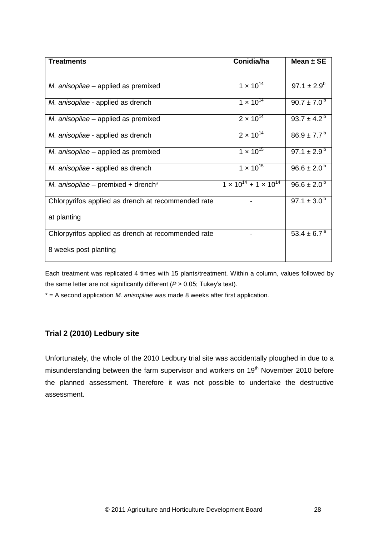| <b>Treatments</b>                                  | Conidia/ha                            | Mean $\pm$ SE               |
|----------------------------------------------------|---------------------------------------|-----------------------------|
|                                                    |                                       |                             |
| M. anisopliae – applied as premixed                | $1 \times 10^{14}$                    | $97.1 \pm 2.9^b$            |
| M. anisopliae - applied as drench                  | $1 \times 10^{14}$                    | $90.7 \pm 7.0^{\circ}$      |
| M. anisopliae – applied as premixed                | $2 \times 10^{14}$                    | $93.7 \pm 4.2^{\circ}$      |
| M. anisopliae - applied as drench                  | $2 \times 10^{14}$                    | $86.9 \pm 7.7^{\circ}$      |
| M. anisopliae – applied as premixed                | $1 \times 10^{15}$                    | 97.1 $\pm$ 2.9 <sup>b</sup> |
| M. anisopliae - applied as drench                  | $1 \times 10^{15}$                    | $96.6 \pm 2.0^{b}$          |
| M. anisopliae – premixed + drench <sup>*</sup>     | $1 \times 10^{14} + 1 \times 10^{14}$ | $96.6 \pm 2.0^{\circ}$      |
| Chlorpyrifos applied as drench at recommended rate |                                       | 97.1 $\pm$ 3.0 <sup>b</sup> |
| at planting                                        |                                       |                             |
| Chlorpyrifos applied as drench at recommended rate |                                       | 53.4 $\pm$ 6.7 <sup>a</sup> |
| 8 weeks post planting                              |                                       |                             |

Each treatment was replicated 4 times with 15 plants/treatment. Within a column, values followed by the same letter are not significantly different (*P* > 0.05; Tukey"s test).

\* = A second application *M. anisopliae* was made 8 weeks after first application.

# **Trial 2 (2010) Ledbury site**

Unfortunately, the whole of the 2010 Ledbury trial site was accidentally ploughed in due to a misunderstanding between the farm supervisor and workers on 19<sup>th</sup> November 2010 before the planned assessment. Therefore it was not possible to undertake the destructive assessment.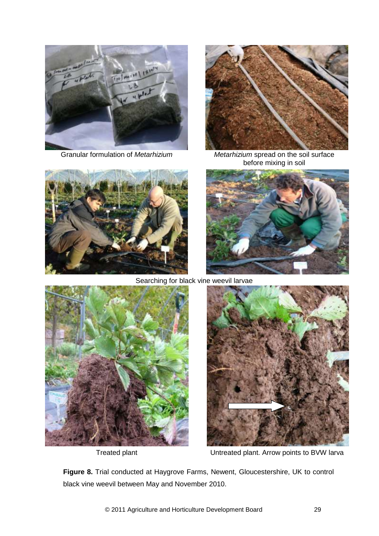

Granular formulation of *Metarhizium*



*Metarhizium* spread on the soil surface before mixing in soil





Searching for black vine weevil larvae



Treated plant



Untreated plant. Arrow points to BVW larva

**Figure 8.** Trial conducted at Haygrove Farms, Newent, Gloucestershire, UK to control black vine weevil between May and November 2010.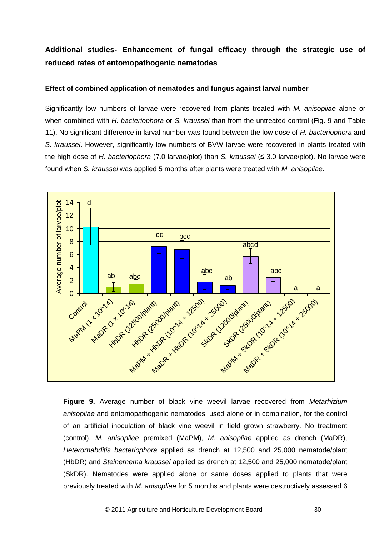# **Additional studies- Enhancement of fungal efficacy through the strategic use of reduced rates of entomopathogenic nematodes**

### **Effect of combined application of nematodes and fungus against larval number**

Significantly low numbers of larvae were recovered from plants treated with *M. anisopliae* alone or when combined with *H. bacteriophora* or *S. kraussei* than from the untreated control (Fig. 9 and Table 11). No significant difference in larval number was found between the low dose of *H. bacteriophora* and *S. kraussei*. However, significantly low numbers of BVW larvae were recovered in plants treated with the high dose of *H. bacteriophora* (7.0 larvae/plot) than *S. kraussei* (≤ 3.0 larvae/plot). No larvae were found when *S. kraussei* was applied 5 months after plants were treated with *M. anisopliae*.



**Figure 9.** Average number of black vine weevil larvae recovered from *Metarhizium anisopliae* and entomopathogenic nematodes, used alone or in combination, for the control of an artificial inoculation of black vine weevil in field grown strawberry. No treatment (control), *M. anisopliae* premixed (MaPM), *M. anisopliae* applied as drench (MaDR), *Heterorhabditis bacteriophora* applied as drench at 12,500 and 25,000 nematode/plant (HbDR) and *Steinernema kraussei* applied as drench at 12,500 and 25,000 nematode/plant (SkDR). Nematodes were applied alone or same doses applied to plants that were previously treated with *M. anisopliae* for 5 months and plants were destructively assessed 6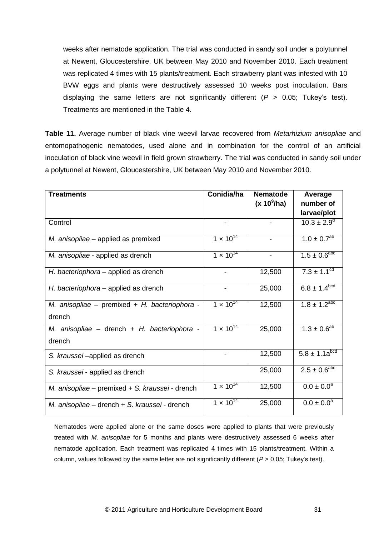weeks after nematode application. The trial was conducted in sandy soil under a polytunnel at Newent, Gloucestershire, UK between May 2010 and November 2010. Each treatment was replicated 4 times with 15 plants/treatment. Each strawberry plant was infested with 10 BVW eggs and plants were destructively assessed 10 weeks post inoculation. Bars displaying the same letters are not significantly different (*P* > 0.05; Tukey"s test). Treatments are mentioned in the Table 4.

**Table 11.** Average number of black vine weevil larvae recovered from *Metarhizium anisopliae* and entomopathogenic nematodes, used alone and in combination for the control of an artificial inoculation of black vine weevil in field grown strawberry. The trial was conducted in sandy soil under a polytunnel at Newent, Gloucestershire, UK between May 2010 and November 2010.

| <b>Treatments</b>                                 | Conidia/ha         | <b>Nematode</b><br>$(x 10^9/ha)$ | Average<br>number of          |
|---------------------------------------------------|--------------------|----------------------------------|-------------------------------|
|                                                   |                    |                                  | larvae/plot                   |
| Control                                           |                    |                                  | $10.3 \pm 2.9^{\circ}$        |
| M. anisopliae - applied as premixed               | $1 \times 10^{14}$ |                                  | $1.0 \pm 0.7^{ab}$            |
| M. anisopliae - applied as drench                 | $1 \times 10^{14}$ |                                  | $1.5 \pm 0.6^{\rm abc}$       |
| H. bacteriophora – applied as drench              |                    | 12,500                           | $7.3 \pm 1.1^{\overline{cd}}$ |
| H. bacteriophora – applied as drench              |                    | 25,000                           | $6.8 \pm 1.4^{bcd}$           |
| M. anisopliae – premixed + H. bacteriophora -     | $1 \times 10^{14}$ | 12,500                           | $1.8 \pm 1.2^{abc}$           |
| drench                                            |                    |                                  |                               |
| M. anisopliae - drench + H. bacteriophora -       | $1 \times 10^{14}$ | 25,000                           | $1.3 \pm 0.6^{ab}$            |
| drench                                            |                    |                                  |                               |
| S. kraussei-applied as drench                     |                    | 12,500                           | $5.8 \pm 1.1a^{bcd}$          |
| S. kraussei - applied as drench                   |                    | 25,000                           | $2.5 \pm 0.6^{\text{abc}}$    |
| M. anisopliae – premixed $+$ S. kraussei - drench | $1 \times 10^{14}$ | 12,500                           | $0.0 \pm 0.0^a$               |
| M. anisopliae – drench + S. kraussei - drench     | $1 \times 10^{14}$ | 25,000                           | $0.0 \pm 0.0^a$               |

Nematodes were applied alone or the same doses were applied to plants that were previously treated with *M. anisopliae* for 5 months and plants were destructively assessed 6 weeks after nematode application. Each treatment was replicated 4 times with 15 plants/treatment. Within a column, values followed by the same letter are not significantly different  $(P > 0.05$ ; Tukey's test).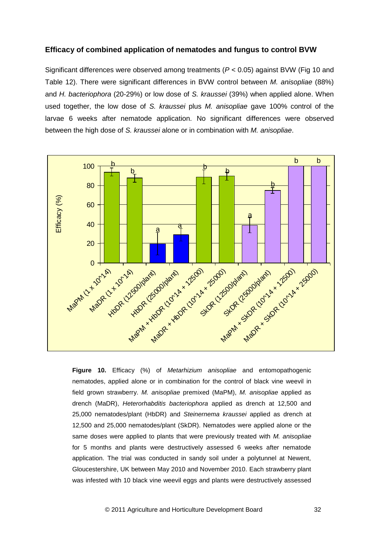### **Efficacy of combined application of nematodes and fungus to control BVW**

Significant differences were observed among treatments (*P* < 0.05) against BVW (Fig 10 and Table 12). There were significant differences in BVW control between *M. anisopliae* (88%) and *H. bacteriophora* (20-29%) or low dose of *S. kraussei* (39%) when applied alone. When used together, the low dose of *S. kraussei* plus *M. anisopliae* gave 100% control of the larvae 6 weeks after nematode application. No significant differences were observed between the high dose of *S. kraussei* alone or in combination with *M. anisopliae*.



**Figure 10.** Efficacy (%) of *Metarhizium anisopliae* and entomopathogenic nematodes, applied alone or in combination for the control of black vine weevil in field grown strawberry. *M. anisopliae* premixed (MaPM), *M. anisopliae* applied as drench (MaDR), *Heterorhabditis bacteriophora* applied as drench at 12,500 and 25,000 nematodes/plant (HbDR) and *Steinernema kraussei* applied as drench at 12,500 and 25,000 nematodes/plant (SkDR). Nematodes were applied alone or the same doses were applied to plants that were previously treated with *M. anisopliae* for 5 months and plants were destructively assessed 6 weeks after nematode application. The trial was conducted in sandy soil under a polytunnel at Newent, Gloucestershire, UK between May 2010 and November 2010. Each strawberry plant was infested with 10 black vine weevil eggs and plants were destructively assessed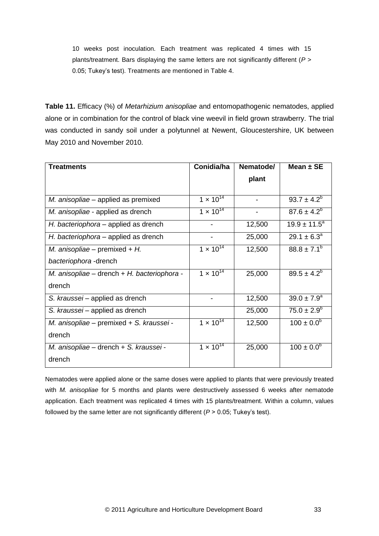10 weeks post inoculation. Each treatment was replicated 4 times with 15 plants/treatment. Bars displaying the same letters are not significantly different (*P* > 0.05; Tukey"s test). Treatments are mentioned in Table 4.

**Table 11.** Efficacy (%) of *Metarhizium anisopliae* and entomopathogenic nematodes, applied alone or in combination for the control of black vine weevil in field grown strawberry. The trial was conducted in sandy soil under a polytunnel at Newent, Gloucestershire, UK between May 2010 and November 2010.

| Treatments                                  | Conidia/ha         | Nematode/                | Mean $±$ SE           |
|---------------------------------------------|--------------------|--------------------------|-----------------------|
|                                             |                    | plant                    |                       |
|                                             |                    |                          |                       |
| M. anisopliae – applied as premixed         | $1 \times 10^{14}$ |                          | $93.7 \pm 4.2^b$      |
| M. anisopliae - applied as drench           | $1 \times 10^{14}$ | $\overline{\phantom{a}}$ | $87.6 \pm 4.2^b$      |
| H. bacteriophora – applied as drench        |                    | 12,500                   | $19.9 \pm 11.5^a$     |
| H. bacteriophora – applied as drench        |                    | 25,000                   | $29.1 \pm 6.3^a$      |
| M. anisopliae – premixed + $H$ .            | $1 \times 10^{14}$ | 12,500                   | $88.8 \pm 7.1^b$      |
| bacteriophora-drench                        |                    |                          |                       |
| M. anisopliae - drench + H. bacteriophora - | $1 \times 10^{14}$ | 25,000                   | $89.5 \pm 4.2^b$      |
| drench                                      |                    |                          |                       |
| S. kraussei - applied as drench             |                    | 12,500                   | $39.0 \pm 7.9^a$      |
| S. kraussei – applied as drench             |                    | 25,000                   | $75.0 \pm 2.9^b$      |
| M. anisopliae – premixed + S. kraussei -    | $1 \times 10^{14}$ | 12,500                   | $100 \pm 0.0^b$       |
| drench                                      |                    |                          |                       |
| M. anisopliae - drench + S. kraussei -      | $1 \times 10^{14}$ | 25,000                   | $100 \pm 0.0^{\circ}$ |
| drench                                      |                    |                          |                       |

Nematodes were applied alone or the same doses were applied to plants that were previously treated with *M. anisopliae* for 5 months and plants were destructively assessed 6 weeks after nematode application. Each treatment was replicated 4 times with 15 plants/treatment. Within a column, values followed by the same letter are not significantly different (*P* > 0.05; Tukey"s test).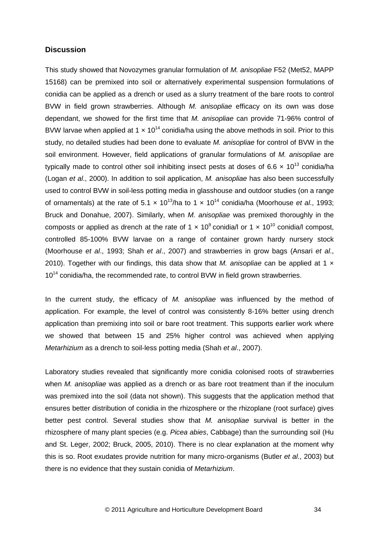### **Discussion**

This study showed that Novozymes granular formulation of *M. anisopliae* F52 (Met52, MAPP 15168) can be premixed into soil or alternatively experimental suspension formulations of conidia can be applied as a drench or used as a slurry treatment of the bare roots to control BVW in field grown strawberries. Although *M. anisopliae* efficacy on its own was dose dependant, we showed for the first time that *M. anisopliae* can provide 71-96% control of BVW larvae when applied at 1  $\times$  10<sup>14</sup> conidia/ha using the above methods in soil. Prior to this study, no detailed studies had been done to evaluate *M. anisopliae* for control of BVW in the soil environment. However, field applications of granular formulations of *M. anisopliae* are typically made to control other soil inhibiting insect pests at doses of 6.6  $\times$  10<sup>13</sup> conidia/ha (Logan *et al*., 2000). In addition to soil application, *M. anisopliae* has also been successfully used to control BVW in soil-less potting media in glasshouse and outdoor studies (on a range of ornamentals) at the rate of  $5.1 \times 10^{13}$ /ha to  $1 \times 10^{14}$  conidia/ha (Moorhouse *et al.*, 1993; Bruck and Donahue, 2007). Similarly, when *M. anisopliae* was premixed thoroughly in the composts or applied as drench at the rate of 1  $\times$  10<sup>9</sup> conidia/l or 1  $\times$  10<sup>10</sup> conidia/l compost, controlled 85-100% BVW larvae on a range of container grown hardy nursery stock (Moorhouse *et al*., 1993; Shah *et al*., 2007) and strawberries in grow bags (Ansari *et al*., 2010). Together with our findings, this data show that *M. anisopliae* can be applied at 1 x 10<sup>14</sup> conidia/ha, the recommended rate, to control BVW in field grown strawberries.

In the current study, the efficacy of *M. anisopliae* was influenced by the method of application. For example, the level of control was consistently 8-16% better using drench application than premixing into soil or bare root treatment. This supports earlier work where we showed that between 15 and 25% higher control was achieved when applying *Metarhizium* as a drench to soil-less potting media (Shah *et al*., 2007).

Laboratory studies revealed that significantly more conidia colonised roots of strawberries when *M. anisopliae* was applied as a drench or as bare root treatment than if the inoculum was premixed into the soil (data not shown). This suggests that the application method that ensures better distribution of conidia in the rhizosphere or the rhizoplane (root surface) gives better pest control. Several studies show that *M. anisopliae* survival is better in the rhizosphere of many plant species (e.g. *Picea abies*, Cabbage) than the surrounding soil (Hu and St. Leger, 2002; Bruck, 2005, 2010). There is no clear explanation at the moment why this is so. Root exudates provide nutrition for many micro-organisms (Butler *et al*., 2003) but there is no evidence that they sustain conidia of *Metarhizium*.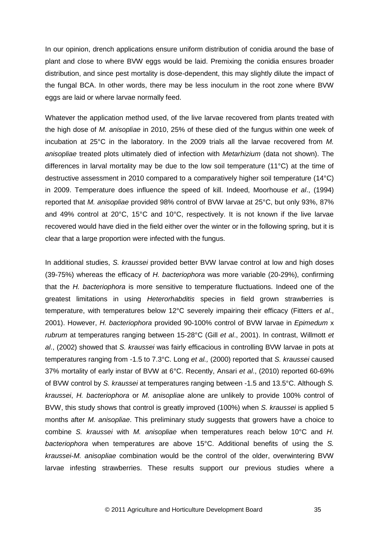In our opinion, drench applications ensure uniform distribution of conidia around the base of plant and close to where BVW eggs would be laid. Premixing the conidia ensures broader distribution, and since pest mortality is dose-dependent, this may slightly dilute the impact of the fungal BCA. In other words, there may be less inoculum in the root zone where BVW eggs are laid or where larvae normally feed.

Whatever the application method used, of the live larvae recovered from plants treated with the high dose of *M. anisopliae* in 2010, 25% of these died of the fungus within one week of incubation at 25°C in the laboratory. In the 2009 trials all the larvae recovered from *M. anisopliae* treated plots ultimately died of infection with *Metarhizium* (data not shown). The differences in larval mortality may be due to the low soil temperature (11°C) at the time of destructive assessment in 2010 compared to a comparatively higher soil temperature (14°C) in 2009. Temperature does influence the speed of kill. Indeed, Moorhouse *et al*., (1994) reported that *M. anisopliae* provided 98% control of BVW larvae at 25°C, but only 93%, 87% and 49% control at 20°C, 15°C and 10°C, respectively. It is not known if the live larvae recovered would have died in the field either over the winter or in the following spring, but it is clear that a large proportion were infected with the fungus.

In additional studies, *S. kraussei* provided better BVW larvae control at low and high doses (39-75%) whereas the efficacy of *H. bacteriophora* was more variable (20-29%), confirming that the *H. bacteriophora* is more sensitive to temperature fluctuations. Indeed one of the greatest limitations in using *Heterorhabditis* species in field grown strawberries is temperature, with temperatures below 12°C severely impairing their efficacy (Fitters *et al*., 2001). However, *H. bacteriophora* provided 90-100% control of BVW larvae in *Epimedum* x *rubrum* at temperatures ranging between 15-28°C (Gill *et al*., 2001). In contrast, Willmott *et al*., (2002) showed that *S. kraussei* was fairly efficacious in controlling BVW larvae in pots at temperatures ranging from -1.5 to 7.3°C. Long *et al.,* (2000) reported that *S. kraussei* caused 37% mortality of early instar of BVW at 6°C. Recently, Ansari *et al*., (2010) reported 60-69% of BVW control by *S. kraussei* at temperatures ranging between -1.5 and 13.5°C. Although *S. kraussei*, *H. bacteriophora* or *M. anisopliae* alone are unlikely to provide 100% control of BVW, this study shows that control is greatly improved (100%) when *S. kraussei* is applied 5 months after *M. anisopliae*. This preliminary study suggests that growers have a choice to combine *S. kraussei* with *M. anisopliae* when temperatures reach below 10°C and *H. bacteriophora* when temperatures are above 15°C. Additional benefits of using the *S. kraussei*-*M. anisopliae* combination would be the control of the older, overwintering BVW larvae infesting strawberries. These results support our previous studies where a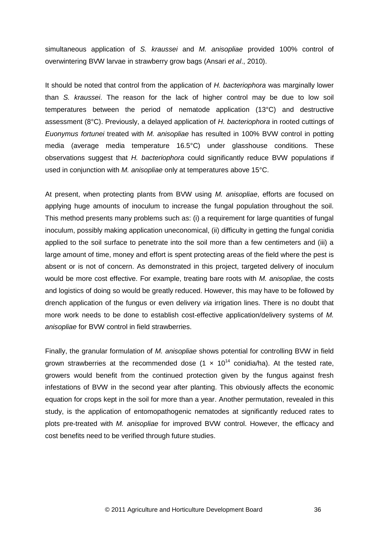simultaneous application of *S. kraussei* and *M. anisopliae* provided 100% control of overwintering BVW larvae in strawberry grow bags (Ansari *et al*., 2010).

It should be noted that control from the application of *H. bacteriophora* was marginally lower than *S. kraussei*. The reason for the lack of higher control may be due to low soil temperatures between the period of nematode application (13°C) and destructive assessment (8°C). Previously, a delayed application of *H. bacteriophora* in rooted cuttings of *Euonymus fortunei* treated with *M. anisopliae* has resulted in 100% BVW control in potting media (average media temperature 16.5°C) under glasshouse conditions. These observations suggest that *H. bacteriophora* could significantly reduce BVW populations if used in conjunction with *M. anisopliae* only at temperatures above 15°C.

At present, when protecting plants from BVW using *M. anisopliae*, efforts are focused on applying huge amounts of inoculum to increase the fungal population throughout the soil. This method presents many problems such as: (i) a requirement for large quantities of fungal inoculum, possibly making application uneconomical, (ii) difficulty in getting the fungal conidia applied to the soil surface to penetrate into the soil more than a few centimeters and (iii) a large amount of time, money and effort is spent protecting areas of the field where the pest is absent or is not of concern. As demonstrated in this project, targeted delivery of inoculum would be more cost effective. For example, treating bare roots with *M. anisopliae*, the costs and logistics of doing so would be greatly reduced. However, this may have to be followed by drench application of the fungus or even delivery *via* irrigation lines. There is no doubt that more work needs to be done to establish cost-effective application/delivery systems of *M. anisopliae* for BVW control in field strawberries.

Finally, the granular formulation of *M. anisopliae* shows potential for controlling BVW in field grown strawberries at the recommended dose  $(1 \times 10^{14} \text{ conidia/ha})$ . At the tested rate, growers would benefit from the continued protection given by the fungus against fresh infestations of BVW in the second year after planting. This obviously affects the economic equation for crops kept in the soil for more than a year. Another permutation, revealed in this study, is the application of entomopathogenic nematodes at significantly reduced rates to plots pre-treated with *M. anisopliae* for improved BVW control. However, the efficacy and cost benefits need to be verified through future studies.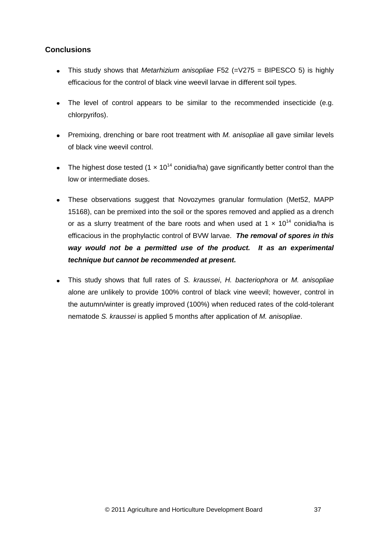# **Conclusions**

- This study shows that *Metarhizium anisopliae* F52 (=V275 = BIPESCO 5) is highly efficacious for the control of black vine weevil larvae in different soil types.
- The level of control appears to be similar to the recommended insecticide (e.g. chlorpyrifos).
- Premixing, drenching or bare root treatment with *M. anisopliae* all gave similar levels of black vine weevil control.
- The highest dose tested (1  $\times$  10<sup>14</sup> conidia/ha) gave significantly better control than the low or intermediate doses.
- These observations suggest that Novozymes granular formulation (Met52, MAPP 15168), can be premixed into the soil or the spores removed and applied as a drench or as a slurry treatment of the bare roots and when used at 1  $\times$  10<sup>14</sup> conidia/ha is efficacious in the prophylactic control of BVW larvae. *The removal of spores in this way would not be a permitted use of the product. It as an experimental technique but cannot be recommended at present.*
- This study shows that full rates of *S. kraussei*, *H. bacteriophora* or *M. anisopliae* alone are unlikely to provide 100% control of black vine weevil; however, control in the autumn/winter is greatly improved (100%) when reduced rates of the cold-tolerant nematode *S. kraussei* is applied 5 months after application of *M. anisopliae*.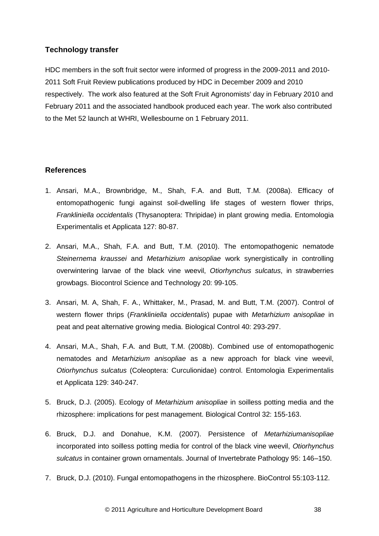## **Technology transfer**

HDC members in the soft fruit sector were informed of progress in the 2009-2011 and 2010- 2011 Soft Fruit Review publications produced by HDC in December 2009 and 2010 respectively. The work also featured at the Soft Fruit Agronomists' day in February 2010 and February 2011 and the associated handbook produced each year. The work also contributed to the Met 52 launch at WHRI, Wellesbourne on 1 February 2011.

## **References**

- 1. Ansari, M.A., Brownbridge, M., Shah, F.A. and Butt, T.M. (2008a). Efficacy of entomopathogenic fungi against soil-dwelling life stages of western flower thrips, *Frankliniella occidentalis* (Thysanoptera: Thripidae) in plant growing media. Entomologia Experimentalis et Applicata 127: 80-87.
- 2. Ansari, M.A., Shah, F.A. and Butt, T.M. (2010). The entomopathogenic nematode *Steinernema kraussei* and *Metarhizium anisopliae* work synergistically in controlling overwintering larvae of the black vine weevil, *Otiorhynchus sulcatus*, in strawberries growbags. Biocontrol Science and Technology 20: 99-105.
- 3. Ansari, M. A, Shah, F. A., Whittaker, M., Prasad, M. and Butt, T.M. (2007). Control of western flower thrips (*Frankliniella occidentalis*) pupae with *Metarhizium anisopliae* in peat and peat alternative growing media. Biological Control 40: 293-297.
- 4. Ansari, M.A., Shah, F.A. and Butt, T.M. (2008b). Combined use of entomopathogenic nematodes and *Metarhizium anisopliae* as a new approach for black vine weevil, *Otiorhynchus sulcatus* (Coleoptera: Curculionidae) control. Entomologia Experimentalis et Applicata 129: 340-247.
- 5. Bruck, D.J. (2005). Ecology of *Metarhizium anisopliae* in soilless potting media and the rhizosphere: implications for pest management. Biological Control 32: 155-163.
- 6. Bruck, D.J. and Donahue, K.M. (2007). Persistence of *Metarhiziumanisopliae*  incorporated into soilless potting media for control of the black vine weevil, *Otiorhynchus sulcatus* in container grown ornamentals. Journal of Invertebrate Pathology 95: 146–150.
- 7. Bruck, D.J. (2010). Fungal entomopathogens in the rhizosphere. BioControl 55:103-112.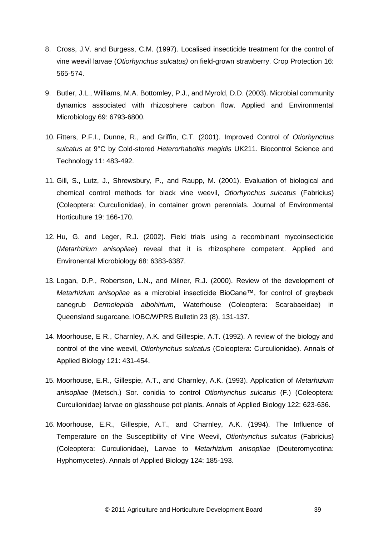- 8. Cross, J.V. and Burgess, C.M. (1997). Localised insecticide treatment for the control of vine weevil larvae (*Otiorhynchus sulcatus)* on field-grown strawberry. Crop Protection 16: 565-574.
- 9. Butler, J.L., Williams, M.A. Bottomley, P.J., and Myrold, D.D. (2003). Microbial community dynamics associated with rhizosphere carbon flow. Applied and Environmental Microbiology 69: 6793-6800.
- 10. Fitters, P.F.I., Dunne, R., and Griffin, C.T. (2001). Improved Control of *Otiorhynchus sulcatus* at 9°C by Cold-stored *Heterorhabditis megidis* UK211. Biocontrol Science and Technology 11: 483-492.
- 11. Gill, S., Lutz, J., Shrewsbury, P., and Raupp, M. (2001). Evaluation of biological and chemical control methods for black vine weevil, *Otiorhynchus sulcatus* (Fabricius) (Coleoptera: Curculionidae), in container grown perennials. Journal of Environmental Horticulture 19: 166-170.
- 12. Hu, G. and Leger, R.J. (2002). Field trials using a recombinant mycoinsecticide (*Metarhizium anisopliae*) reveal that it is rhizosphere competent. Applied and Environental Microbiology 68: 6383-6387.
- 13. Logan, D.P., Robertson, L.N., and Milner, R.J. (2000). Review of the development of *Metarhizium anisopliae* as a microbial insecticide BioCane™, for control of greyback canegrub *Dermolepida albohirtum*, Waterhouse (Coleoptera: Scarabaeidae) in Queensland sugarcane. IOBC/WPRS Bulletin 23 (8), 131-137.
- 14. Moorhouse, E R., Charnley, A.K. and Gillespie, A.T. (1992). A review of the biology and control of the vine weevil, *Otiorhynchus sulcatus* (Coleoptera: Curculionidae). Annals of Applied Biology 121: 431-454.
- 15. Moorhouse, E.R., Gillespie, A.T., and Charnley, A.K. (1993). Application of *Metarhizium anisopliae* (Metsch.) Sor. conidia to control *Otiorhynchus sulcatus* (F.) (Coleoptera: Curculionidae) larvae on glasshouse pot plants. Annals of Applied Biology 122: 623-636.
- 16. Moorhouse, E.R., Gillespie, A.T., and Charnley, A.K. (1994). The Influence of Temperature on the Susceptibility of Vine Weevil, *Otiorhynchus sulcatus* (Fabricius) (Coleoptera: Curculionidae), Larvae to *Metarhizium anisopliae* (Deuteromycotina: Hyphomycetes). Annals of Applied Biology 124: 185-193.